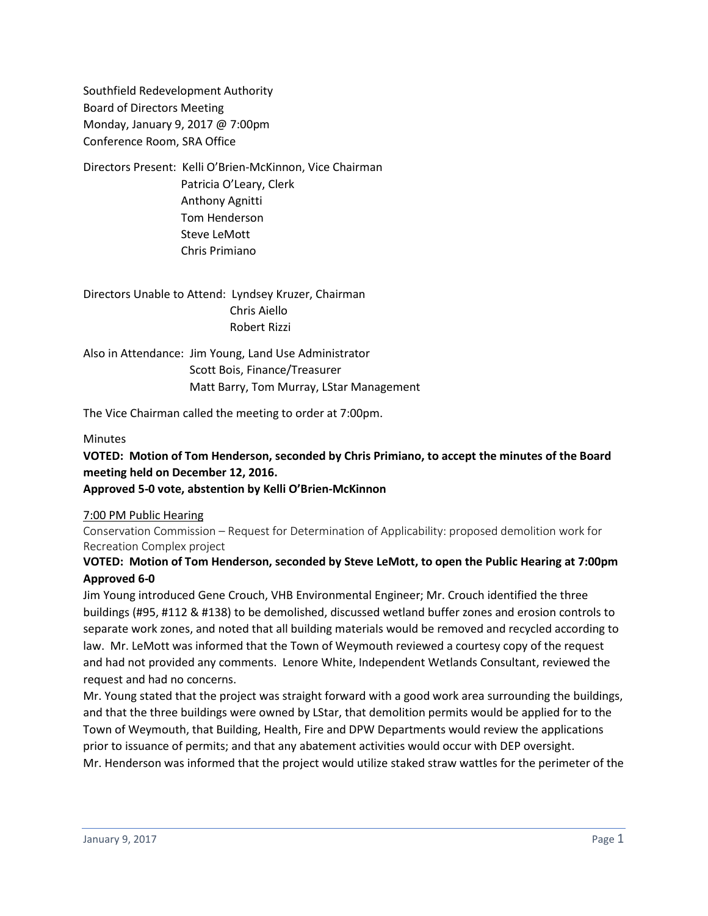Southfield Redevelopment Authority Board of Directors Meeting Monday, January 9, 2017 @ 7:00pm Conference Room, SRA Office

Directors Present: Kelli O'Brien-McKinnon, Vice Chairman Patricia O'Leary, Clerk Anthony Agnitti Tom Henderson Steve LeMott Chris Primiano

Directors Unable to Attend: Lyndsey Kruzer, Chairman Chris Aiello Robert Rizzi

Also in Attendance: Jim Young, Land Use Administrator Scott Bois, Finance/Treasurer Matt Barry, Tom Murray, LStar Management

The Vice Chairman called the meeting to order at 7:00pm.

## Minutes

# **VOTED: Motion of Tom Henderson, seconded by Chris Primiano, to accept the minutes of the Board meeting held on December 12, 2016.**

**Approved 5-0 vote, abstention by Kelli O'Brien-McKinnon**

### 7:00 PM Public Hearing

Conservation Commission – Request for Determination of Applicability: proposed demolition work for Recreation Complex project

## **VOTED: Motion of Tom Henderson, seconded by Steve LeMott, to open the Public Hearing at 7:00pm Approved 6-0**

Jim Young introduced Gene Crouch, VHB Environmental Engineer; Mr. Crouch identified the three buildings (#95, #112 & #138) to be demolished, discussed wetland buffer zones and erosion controls to separate work zones, and noted that all building materials would be removed and recycled according to law. Mr. LeMott was informed that the Town of Weymouth reviewed a courtesy copy of the request and had not provided any comments. Lenore White, Independent Wetlands Consultant, reviewed the request and had no concerns.

Mr. Young stated that the project was straight forward with a good work area surrounding the buildings, and that the three buildings were owned by LStar, that demolition permits would be applied for to the Town of Weymouth, that Building, Health, Fire and DPW Departments would review the applications prior to issuance of permits; and that any abatement activities would occur with DEP oversight. Mr. Henderson was informed that the project would utilize staked straw wattles for the perimeter of the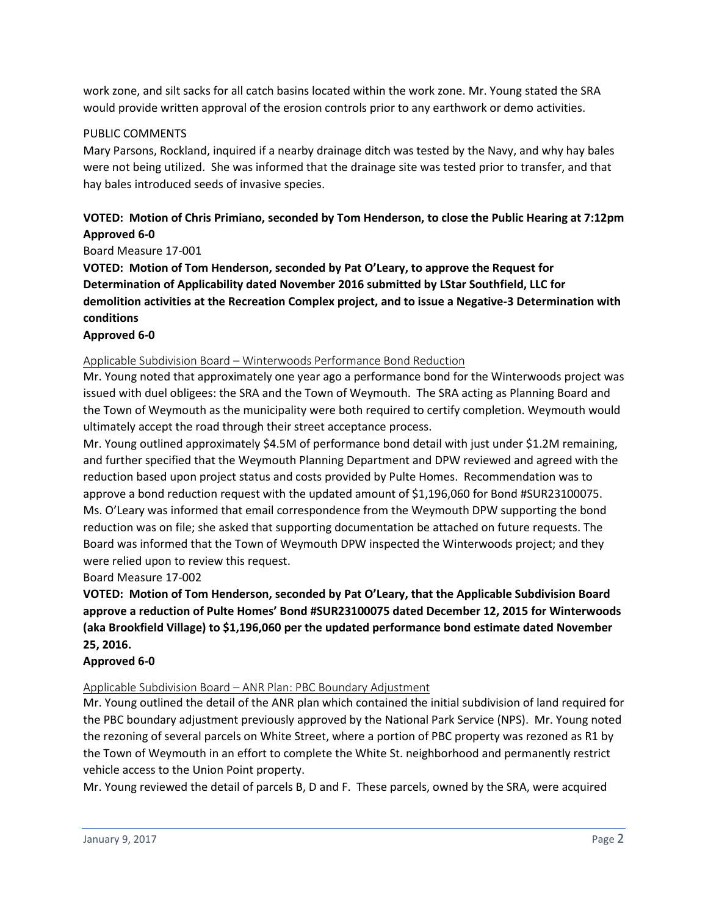work zone, and silt sacks for all catch basins located within the work zone. Mr. Young stated the SRA would provide written approval of the erosion controls prior to any earthwork or demo activities.

## PUBLIC COMMENTS

Mary Parsons, Rockland, inquired if a nearby drainage ditch was tested by the Navy, and why hay bales were not being utilized. She was informed that the drainage site was tested prior to transfer, and that hay bales introduced seeds of invasive species.

# **VOTED: Motion of Chris Primiano, seconded by Tom Henderson, to close the Public Hearing at 7:12pm Approved 6-0**

Board Measure 17-001

**VOTED: Motion of Tom Henderson, seconded by Pat O'Leary, to approve the Request for Determination of Applicability dated November 2016 submitted by LStar Southfield, LLC for demolition activities at the Recreation Complex project, and to issue a Negative-3 Determination with conditions**

## **Approved 6-0**

### Applicable Subdivision Board – Winterwoods Performance Bond Reduction

Mr. Young noted that approximately one year ago a performance bond for the Winterwoods project was issued with duel obligees: the SRA and the Town of Weymouth. The SRA acting as Planning Board and the Town of Weymouth as the municipality were both required to certify completion. Weymouth would ultimately accept the road through their street acceptance process.

Mr. Young outlined approximately \$4.5M of performance bond detail with just under \$1.2M remaining, and further specified that the Weymouth Planning Department and DPW reviewed and agreed with the reduction based upon project status and costs provided by Pulte Homes. Recommendation was to approve a bond reduction request with the updated amount of \$1,196,060 for Bond #SUR23100075. Ms. O'Leary was informed that email correspondence from the Weymouth DPW supporting the bond reduction was on file; she asked that supporting documentation be attached on future requests. The Board was informed that the Town of Weymouth DPW inspected the Winterwoods project; and they were relied upon to review this request.

### Board Measure 17-002

**VOTED: Motion of Tom Henderson, seconded by Pat O'Leary, that the Applicable Subdivision Board approve a reduction of Pulte Homes' Bond #SUR23100075 dated December 12, 2015 for Winterwoods (aka Brookfield Village) to \$1,196,060 per the updated performance bond estimate dated November 25, 2016.** 

### **Approved 6-0**

### Applicable Subdivision Board – ANR Plan: PBC Boundary Adjustment

Mr. Young outlined the detail of the ANR plan which contained the initial subdivision of land required for the PBC boundary adjustment previously approved by the National Park Service (NPS). Mr. Young noted the rezoning of several parcels on White Street, where a portion of PBC property was rezoned as R1 by the Town of Weymouth in an effort to complete the White St. neighborhood and permanently restrict vehicle access to the Union Point property.

Mr. Young reviewed the detail of parcels B, D and F. These parcels, owned by the SRA, were acquired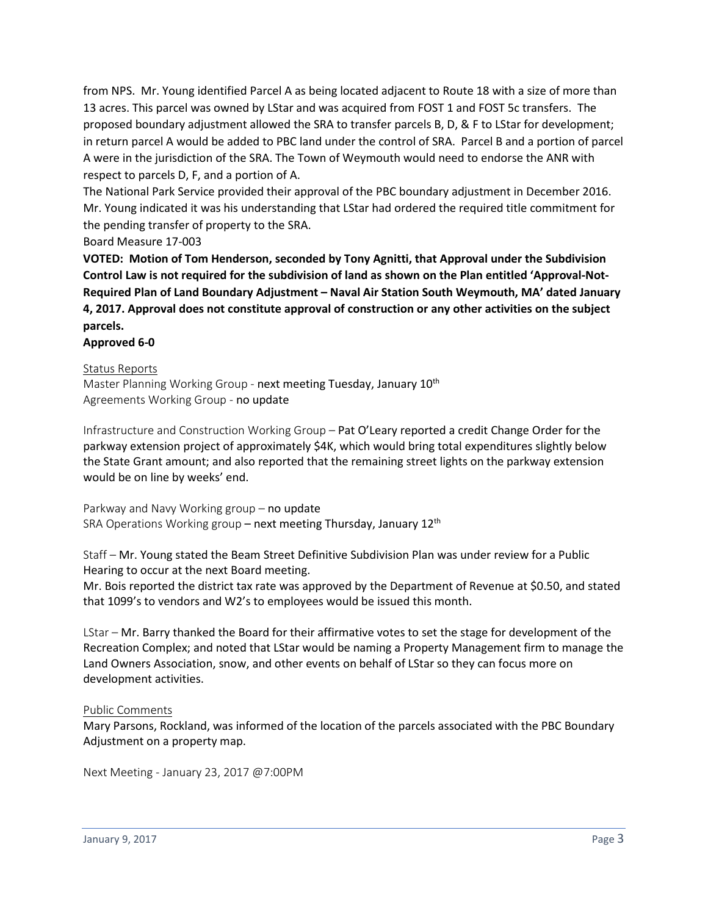from NPS. Mr. Young identified Parcel A as being located adjacent to Route 18 with a size of more than 13 acres. This parcel was owned by LStar and was acquired from FOST 1 and FOST 5c transfers. The proposed boundary adjustment allowed the SRA to transfer parcels B, D, & F to LStar for development; in return parcel A would be added to PBC land under the control of SRA. Parcel B and a portion of parcel A were in the jurisdiction of the SRA. The Town of Weymouth would need to endorse the ANR with respect to parcels D, F, and a portion of A.

The National Park Service provided their approval of the PBC boundary adjustment in December 2016. Mr. Young indicated it was his understanding that LStar had ordered the required title commitment for the pending transfer of property to the SRA.

## Board Measure 17-003

**VOTED: Motion of Tom Henderson, seconded by Tony Agnitti, that Approval under the Subdivision Control Law is not required for the subdivision of land as shown on the Plan entitled 'Approval-Not-Required Plan of Land Boundary Adjustment – Naval Air Station South Weymouth, MA' dated January 4, 2017. Approval does not constitute approval of construction or any other activities on the subject parcels.**

#### **Approved 6-0**

#### Status Reports

Master Planning Working Group - next meeting Tuesday, January 10<sup>th</sup> Agreements Working Group - no update

Infrastructure and Construction Working Group – Pat O'Leary reported a credit Change Order for the parkway extension project of approximately \$4K, which would bring total expenditures slightly below the State Grant amount; and also reported that the remaining street lights on the parkway extension would be on line by weeks' end.

Parkway and Navy Working group – no update SRA Operations Working group - next meeting Thursday, January 12<sup>th</sup>

Staff – Mr. Young stated the Beam Street Definitive Subdivision Plan was under review for a Public Hearing to occur at the next Board meeting.

Mr. Bois reported the district tax rate was approved by the Department of Revenue at \$0.50, and stated that 1099's to vendors and W2's to employees would be issued this month.

LStar – Mr. Barry thanked the Board for their affirmative votes to set the stage for development of the Recreation Complex; and noted that LStar would be naming a Property Management firm to manage the Land Owners Association, snow, and other events on behalf of LStar so they can focus more on development activities.

### Public Comments

Mary Parsons, Rockland, was informed of the location of the parcels associated with the PBC Boundary Adjustment on a property map.

Next Meeting - January 23, 2017 @7:00PM